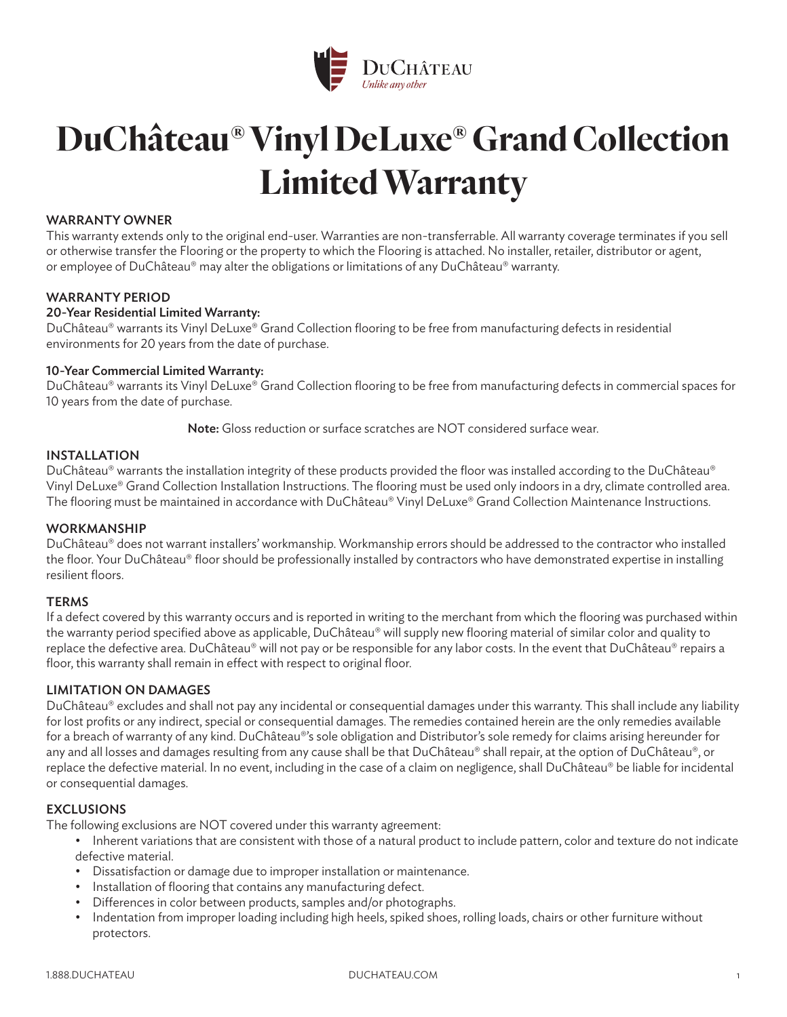

# **DuChâteau® Vinyl DeLuxe® Grand Collection Limited Warranty**

# WARRANTY OWNER

This warranty extends only to the original end-user. Warranties are non-transferrable. All warranty coverage terminates if you sell or otherwise transfer the Flooring or the property to which the Flooring is attached. No installer, retailer, distributor or agent, or employee of DuChâteau® may alter the obligations or limitations of any DuChâteau® warranty.

# WARRANTY PERIOD

#### 20-Year Residential Limited Warranty:

DuChâteau® warrants its Vinyl DeLuxe® Grand Collection flooring to be free from manufacturing defects in residential environments for 20 years from the date of purchase.

#### 10-Year Commercial Limited Warranty:

DuChâteau® warrants its Vinyl DeLuxe® Grand Collection flooring to be free from manufacturing defects in commercial spaces for 10 years from the date of purchase.

Note: Gloss reduction or surface scratches are NOT considered surface wear.

#### INSTALLATION

DuChâteau® warrants the installation integrity of these products provided the floor was installed according to the DuChâteau® Vinyl DeLuxe® Grand Collection Installation Instructions. The flooring must be used only indoors in a dry, climate controlled area. The flooring must be maintained in accordance with DuChâteau® Vinyl DeLuxe® Grand Collection Maintenance Instructions.

#### WORKMANSHIP

DuChâteau® does not warrant installers' workmanship. Workmanship errors should be addressed to the contractor who installed the floor. Your DuChâteau® floor should be professionally installed by contractors who have demonstrated expertise in installing resilient floors.

#### **TFRMS**

If a defect covered by this warranty occurs and is reported in writing to the merchant from which the flooring was purchased within the warranty period specified above as applicable, DuChâteau® will supply new flooring material of similar color and quality to replace the defective area. DuChâteau® will not pay or be responsible for any labor costs. In the event that DuChâteau® repairs a floor, this warranty shall remain in effect with respect to original floor.

#### LIMITATION ON DAMAGES

DuChâteau® excludes and shall not pay any incidental or consequential damages under this warranty. This shall include any liability for lost profits or any indirect, special or consequential damages. The remedies contained herein are the only remedies available for a breach of warranty of any kind. DuChâteau®'s sole obligation and Distributor's sole remedy for claims arising hereunder for any and all losses and damages resulting from any cause shall be that DuChâteau® shall repair, at the option of DuChâteau®, or replace the defective material. In no event, including in the case of a claim on negligence, shall DuChâteau® be liable for incidental or consequential damages.

# **EXCLUSIONS**

The following exclusions are NOT covered under this warranty agreement:

- Inherent variations that are consistent with those of a natural product to include pattern, color and texture do not indicate defective material.
- Dissatisfaction or damage due to improper installation or maintenance.
- Installation of flooring that contains any manufacturing defect.
- Differences in color between products, samples and/or photographs.
- Indentation from improper loading including high heels, spiked shoes, rolling loads, chairs or other furniture without protectors.

#### 1.888.DUCHATEAU DUCHATEAU.COM 1